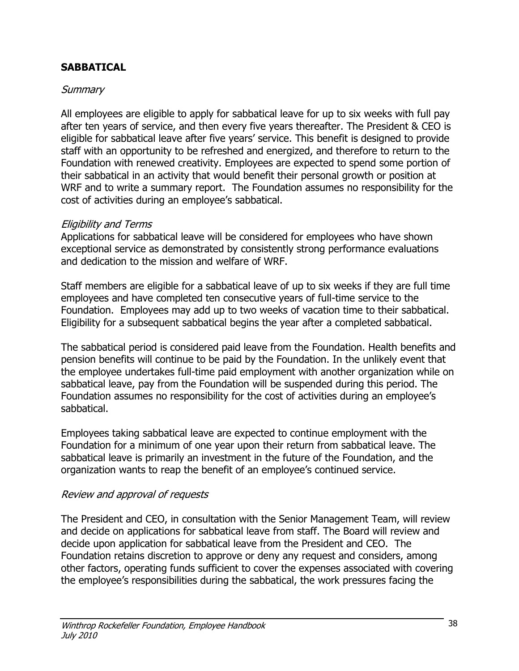## **SABBATICAL**

## **Summary**

All employees are eligible to apply for sabbatical leave for up to six weeks with full pay after ten years of service, and then every five years thereafter. The President & CEO is eligible for sabbatical leave after five years' service. This benefit is designed to provide staff with an opportunity to be refreshed and energized, and therefore to return to the Foundation with renewed creativity. Employees are expected to spend some portion of their sabbatical in an activity that would benefit their personal growth or position at WRF and to write a summary report. The Foundation assumes no responsibility for the cost of activities during an employee's sabbatical.

## Eligibility and Terms

Applications for sabbatical leave will be considered for employees who have shown exceptional service as demonstrated by consistently strong performance evaluations and dedication to the mission and welfare of WRF.

Staff members are eligible for a sabbatical leave of up to six weeks if they are full time employees and have completed ten consecutive years of full-time service to the Foundation. Employees may add up to two weeks of vacation time to their sabbatical. Eligibility for a subsequent sabbatical begins the year after a completed sabbatical.

The sabbatical period is considered paid leave from the Foundation. Health benefits and pension benefits will continue to be paid by the Foundation. In the unlikely event that the employee undertakes full-time paid employment with another organization while on sabbatical leave, pay from the Foundation will be suspended during this period. The Foundation assumes no responsibility for the cost of activities during an employee's sabbatical.

Employees taking sabbatical leave are expected to continue employment with the Foundation for a minimum of one year upon their return from sabbatical leave. The sabbatical leave is primarily an investment in the future of the Foundation, and the organization wants to reap the benefit of an employee's continued service.

## Review and approval of requests

The President and CEO, in consultation with the Senior Management Team, will review and decide on applications for sabbatical leave from staff. The Board will review and decide upon application for sabbatical leave from the President and CEO. The Foundation retains discretion to approve or deny any request and considers, among other factors, operating funds sufficient to cover the expenses associated with covering the employee's responsibilities during the sabbatical, the work pressures facing the